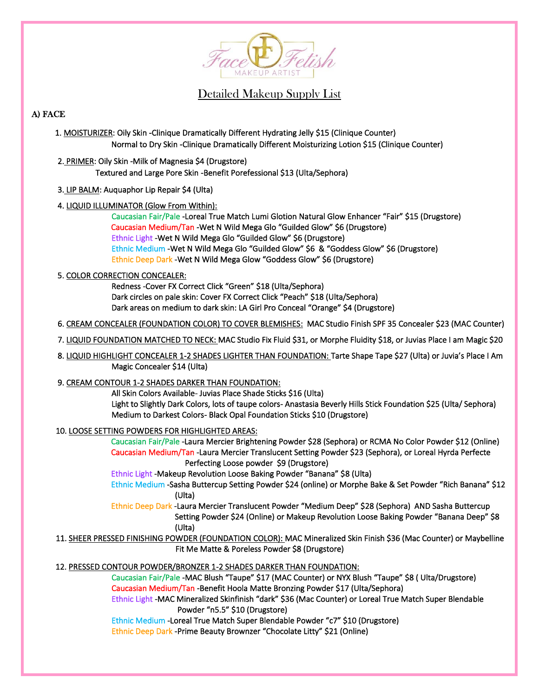

Detailed Makeup Supply List

# A) FACE

- 1. MOISTURIZER: Oily Skin -Clinique Dramatically Different Hydrating Jelly \$15 (Clinique Counter) Normal to Dry Skin -Clinique Dramatically Different Moisturizing Lotion \$15 (Clinique Counter)
- 2. PRIMER: Oily Skin -Milk of Magnesia \$4 (Drugstore) Textured and Large Pore Skin -Benefit Porefessional \$13 (Ulta/Sephora)
- 3. LIP BALM: Auquaphor Lip Repair \$4 (Ulta)
- 4. LIQUID ILLUMINATOR (Glow From Within):

 Caucasian Fair/Pale -Loreal True Match Lumi Glotion Natural Glow Enhancer "Fair" \$15 (Drugstore) Caucasian Medium/Tan -Wet N Wild Mega Glo "Guilded Glow" \$6 (Drugstore) Ethnic Light -Wet N Wild Mega Glo "Guilded Glow" \$6 (Drugstore) Ethnic Medium -Wet N Wild Mega Glo "Guilded Glow" \$6 & "Goddess Glow" \$6 (Drugstore) Ethnic Deep Dark -Wet N Wild Mega Glow "Goddess Glow" \$6 (Drugstore)

## 5. COLOR CORRECTION CONCEALER:

 Redness -Cover FX Correct Click "Green" \$18 (Ulta/Sephora) Dark circles on pale skin: Cover FX Correct Click "Peach" \$18 (Ulta/Sephora) Dark areas on medium to dark skin: LA Girl Pro Conceal "Orange" \$4 (Drugstore)

- 6. CREAM CONCEALER (FOUNDATION COLOR) TO COVER BLEMISHES: MAC Studio Finish SPF 35 Concealer \$23 (MAC Counter)
- 7. LIQUID FOUNDATION MATCHED TO NECK: MAC Studio Fix Fluid \$31, or Morphe Fluidity \$18, or Juvias Place I am Magic \$20
- 8. LIQUID HIGHLIGHT CONCEALER 1-2 SHADES LIGHTER THAN FOUNDATION: Tarte Shape Tape \$27 (Ulta) or Juvia's Place I Am Magic Concealer \$14 (Ulta)

## 9. CREAM CONTOUR 1-2 SHADES DARKER THAN FOUNDATION:

 All Skin Colors Available- Juvias Place Shade Sticks \$16 (Ulta) Light to Slightly Dark Colors, lots of taupe colors- Anastasia Beverly Hills Stick Foundation \$25 (Ulta/ Sephora) Medium to Darkest Colors- Black Opal Foundation Sticks \$10 (Drugstore)

## 10. LOOSE SETTING POWDERS FOR HIGHLIGHTED AREAS:

 Caucasian Fair/Pale -Laura Mercier Brightening Powder \$28 (Sephora) or RCMA No Color Powder \$12 (Online) Caucasian Medium/Tan -Laura Mercier Translucent Setting Powder \$23 (Sephora), or Loreal Hyrda Perfecte Perfecting Loose powder \$9 (Drugstore)

Ethnic Light -Makeup Revolution Loose Baking Powder "Banana" \$8 (Ulta)

 Ethnic Medium -Sasha Buttercup Setting Powder \$24 (online) or Morphe Bake & Set Powder "Rich Banana" \$12 (Ulta)

 Ethnic Deep Dark -Laura Mercier Translucent Powder "Medium Deep" \$28 (Sephora) AND Sasha Buttercup Setting Powder \$24 (Online) or Makeup Revolution Loose Baking Powder "Banana Deep" \$8 (Ulta)

 11. SHEER PRESSED FINISHING POWDER (FOUNDATION COLOR): MAC Mineralized Skin Finish \$36 (Mac Counter) or Maybelline Fit Me Matte & Poreless Powder \$8 (Drugstore)

12. PRESSED CONTOUR POWDER/BRONZER 1-2 SHADES DARKER THAN FOUNDATION:

 Caucasian Fair/Pale -MAC Blush "Taupe" \$17 (MAC Counter) or NYX Blush "Taupe" \$8 ( Ulta/Drugstore) Caucasian Medium/Tan -Benefit Hoola Matte Bronzing Powder \$17 (Ulta/Sephora)

 Ethnic Light -MAC Mineralized Skinfinish "dark" \$36 (Mac Counter) or Loreal True Match Super Blendable Powder "n5.5" \$10 (Drugstore)

Ethnic Medium -Loreal True Match Super Blendable Powder "c7" \$10 (Drugstore)

Ethnic Deep Dark -Prime Beauty Brownzer "Chocolate Litty" \$21 (Online)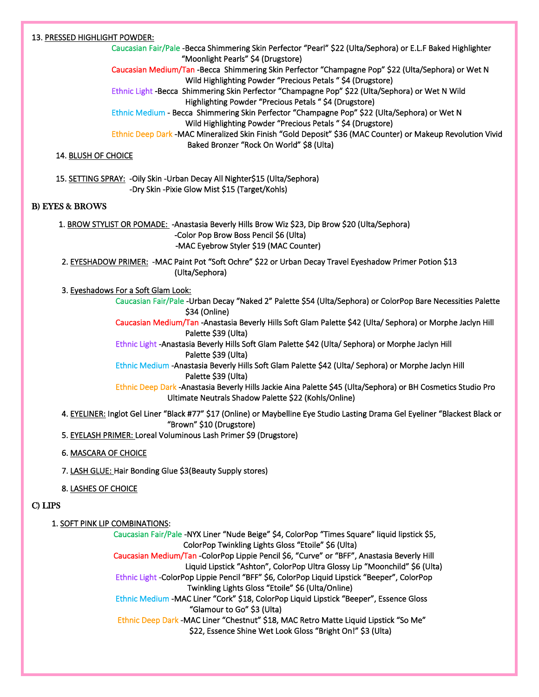### 13. PRESSED HIGHLIGHT POWDER:

 Caucasian Fair/Pale -Becca Shimmering Skin Perfector "Pearl" \$22 (Ulta/Sephora) or E.L.F Baked Highlighter "Moonlight Pearls" \$4 (Drugstore) Caucasian Medium/Tan -Becca Shimmering Skin Perfector "Champagne Pop" \$22 (Ulta/Sephora) or Wet N Wild Highlighting Powder "Precious Petals " \$4 (Drugstore) Ethnic Light -Becca Shimmering Skin Perfector "Champagne Pop" \$22 (Ulta/Sephora) or Wet N Wild Highlighting Powder "Precious Petals " \$4 (Drugstore) Ethnic Medium - Becca Shimmering Skin Perfector "Champagne Pop" \$22 (Ulta/Sephora) or Wet N Wild Highlighting Powder "Precious Petals " \$4 (Drugstore) Ethnic Deep Dark -MAC Mineralized Skin Finish "Gold Deposit" \$36 (MAC Counter) or Makeup Revolution Vivid Baked Bronzer "Rock On World" \$8 (Ulta)

#### 14. BLUSH OF CHOICE

 15. SETTING SPRAY: -Oily Skin -Urban Decay All Nighter\$15 (Ulta/Sephora) -Dry Skin -Pixie Glow Mist \$15 (Target/Kohls)

#### B) EYES & BROWS

 1. BROW STYLIST OR POMADE: -Anastasia Beverly Hills Brow Wiz \$23, Dip Brow \$20 (Ulta/Sephora) -Color Pop Brow Boss Pencil \$6 (Ulta) -MAC Eyebrow Styler \$19 (MAC Counter)

2. EYESHADOW PRIMER: - MAC Paint Pot "Soft Ochre" \$22 or Urban Decay Travel Eyeshadow Primer Potion \$13 (Ulta/Sephora)

### 3. Eyeshadows For a Soft Glam Look:

 Caucasian Fair/Pale -Urban Decay "Naked 2" Palette \$54 (Ulta/Sephora) or ColorPop Bare Necessities Palette \$34 (Online)

 Caucasian Medium/Tan -Anastasia Beverly Hills Soft Glam Palette \$42 (Ulta/ Sephora) or Morphe Jaclyn Hill Palette \$39 (Ulta)

 Ethnic Light -Anastasia Beverly Hills Soft Glam Palette \$42 (Ulta/ Sephora) or Morphe Jaclyn Hill Palette \$39 (Ulta)

 Ethnic Medium -Anastasia Beverly Hills Soft Glam Palette \$42 (Ulta/ Sephora) or Morphe Jaclyn Hill Palette \$39 (Ulta)

 Ethnic Deep Dark -Anastasia Beverly Hills Jackie Aina Palette \$45 (Ulta/Sephora) or BH Cosmetics Studio Pro Ultimate Neutrals Shadow Palette \$22 (Kohls/Online)

 4. EYELINER: Inglot Gel Liner "Black #77" \$17 (Online) or Maybelline Eye Studio Lasting Drama Gel Eyeliner "Blackest Black or "Brown" \$10 (Drugstore)

5. EYELASH PRIMER: Loreal Voluminous Lash Primer \$9 (Drugstore)

#### 6. MASCARA OF CHOICE

7. LASH GLUE: Hair Bonding Glue \$3(Beauty Supply stores)

8. LASHES OF CHOICE

#### C) LIPS

#### 1. SOFTPINK LIP COMBINATIONS:

 Caucasian Fair/Pale -NYX Liner "Nude Beige" \$4, ColorPop "Times Square" liquid lipstick \$5, ColorPop Twinkling Lights Gloss "Etoile" \$6 (Ulta) Caucasian Medium/Tan -ColorPop Lippie Pencil \$6, "Curve" or "BFF", Anastasia Beverly Hill Liquid Lipstick "Ashton", ColorPop Ultra Glossy Lip "Moonchild" \$6 (Ulta) Ethnic Light -ColorPop Lippie Pencil "BFF" \$6, ColorPop Liquid Lipstick "Beeper", ColorPop Twinkling Lights Gloss "Etoile" \$6 (Ulta/Online) Ethnic Medium -MAC Liner "Cork" \$18, ColorPop Liquid Lipstick "Beeper", Essence Gloss "Glamour to Go" \$3 (Ulta) Ethnic Deep Dark -MAC Liner "Chestnut" \$18, MAC Retro Matte Liquid Lipstick "So Me" \$22, Essence Shine Wet Look Gloss "Bright On!" \$3 (Ulta)